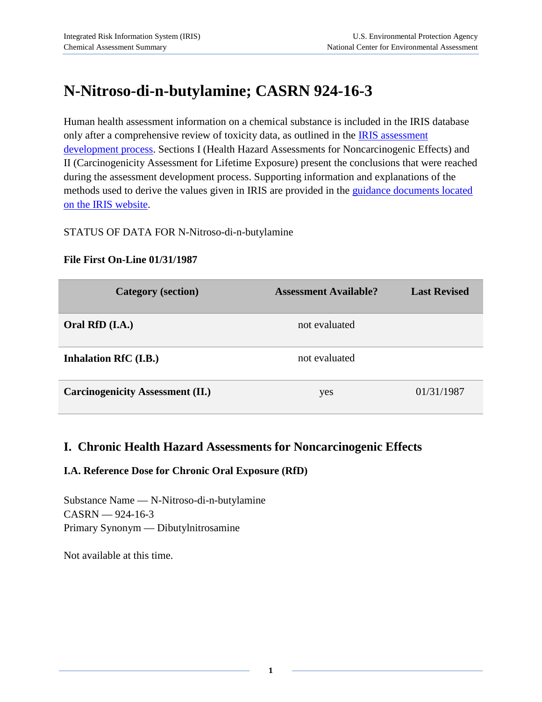# **N-Nitroso-di-n-butylamine; CASRN 924-16-3**

Human health assessment information on a chemical substance is included in the IRIS database only after a comprehensive review of toxicity data, as outlined in the **IRIS** assessment [development process.](http://www.epa.gov/iris/process.htm) Sections I (Health Hazard Assessments for Noncarcinogenic Effects) and II (Carcinogenicity Assessment for Lifetime Exposure) present the conclusions that were reached during the assessment development process. Supporting information and explanations of the methods used to derive the values given in IRIS are provided in the [guidance documents located](http://www.epa.gov/iris/backgrd.html)  [on the IRIS website.](http://www.epa.gov/iris/backgrd.html)

#### STATUS OF DATA FOR N-Nitroso-di-n-butylamine

#### **File First On-Line 01/31/1987**

| <b>Category</b> (section)               | <b>Assessment Available?</b> | <b>Last Revised</b> |
|-----------------------------------------|------------------------------|---------------------|
| Oral RfD (I.A.)                         | not evaluated                |                     |
| Inhalation RfC (I.B.)                   | not evaluated                |                     |
| <b>Carcinogenicity Assessment (II.)</b> | yes                          | 01/31/1987          |

# **I. Chronic Health Hazard Assessments for Noncarcinogenic Effects**

## **I.A. Reference Dose for Chronic Oral Exposure (RfD)**

Substance Name — N-Nitroso-di-n-butylamine CASRN — 924-16-3 Primary Synonym — Dibutylnitrosamine

Not available at this time.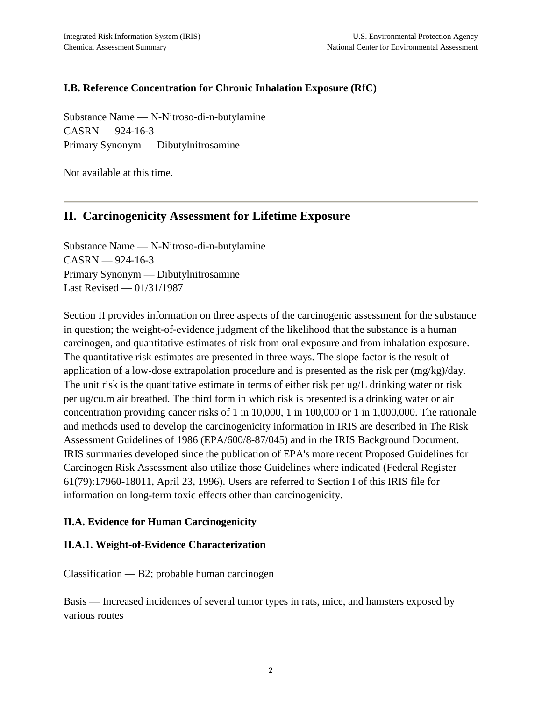# **I.B. Reference Concentration for Chronic Inhalation Exposure (RfC)**

Substance Name — N-Nitroso-di-n-butylamine  $CASRN = 924-16-3$ Primary Synonym — Dibutylnitrosamine

Not available at this time.

# **II. Carcinogenicity Assessment for Lifetime Exposure**

Substance Name — N-Nitroso-di-n-butylamine  $CASRN = 924-16-3$ Primary Synonym — Dibutylnitrosamine Last Revised — 01/31/1987

Section II provides information on three aspects of the carcinogenic assessment for the substance in question; the weight-of-evidence judgment of the likelihood that the substance is a human carcinogen, and quantitative estimates of risk from oral exposure and from inhalation exposure. The quantitative risk estimates are presented in three ways. The slope factor is the result of application of a low-dose extrapolation procedure and is presented as the risk per (mg/kg)/day. The unit risk is the quantitative estimate in terms of either risk per ug/L drinking water or risk per ug/cu.m air breathed. The third form in which risk is presented is a drinking water or air concentration providing cancer risks of 1 in 10,000, 1 in 100,000 or 1 in 1,000,000. The rationale and methods used to develop the carcinogenicity information in IRIS are described in The Risk Assessment Guidelines of 1986 (EPA/600/8-87/045) and in the IRIS Background Document. IRIS summaries developed since the publication of EPA's more recent Proposed Guidelines for Carcinogen Risk Assessment also utilize those Guidelines where indicated (Federal Register 61(79):17960-18011, April 23, 1996). Users are referred to Section I of this IRIS file for information on long-term toxic effects other than carcinogenicity.

## **II.A. Evidence for Human Carcinogenicity**

## **II.A.1. Weight-of-Evidence Characterization**

Classification — B2; probable human carcinogen

Basis — Increased incidences of several tumor types in rats, mice, and hamsters exposed by various routes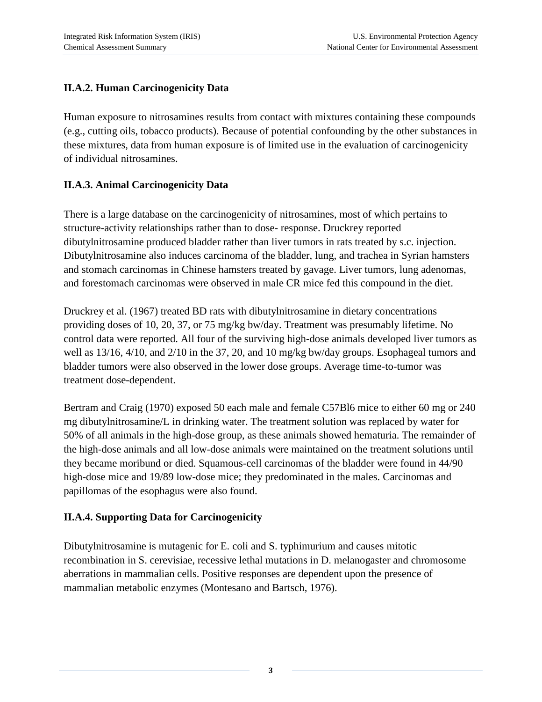# **II.A.2. Human Carcinogenicity Data**

Human exposure to nitrosamines results from contact with mixtures containing these compounds (e.g., cutting oils, tobacco products). Because of potential confounding by the other substances in these mixtures, data from human exposure is of limited use in the evaluation of carcinogenicity of individual nitrosamines.

# **II.A.3. Animal Carcinogenicity Data**

There is a large database on the carcinogenicity of nitrosamines, most of which pertains to structure-activity relationships rather than to dose- response. Druckrey reported dibutylnitrosamine produced bladder rather than liver tumors in rats treated by s.c. injection. Dibutylnitrosamine also induces carcinoma of the bladder, lung, and trachea in Syrian hamsters and stomach carcinomas in Chinese hamsters treated by gavage. Liver tumors, lung adenomas, and forestomach carcinomas were observed in male CR mice fed this compound in the diet.

Druckrey et al. (1967) treated BD rats with dibutylnitrosamine in dietary concentrations providing doses of 10, 20, 37, or 75 mg/kg bw/day. Treatment was presumably lifetime. No control data were reported. All four of the surviving high-dose animals developed liver tumors as well as 13/16, 4/10, and 2/10 in the 37, 20, and 10 mg/kg bw/day groups. Esophageal tumors and bladder tumors were also observed in the lower dose groups. Average time-to-tumor was treatment dose-dependent.

Bertram and Craig (1970) exposed 50 each male and female C57Bl6 mice to either 60 mg or 240 mg dibutylnitrosamine/L in drinking water. The treatment solution was replaced by water for 50% of all animals in the high-dose group, as these animals showed hematuria. The remainder of the high-dose animals and all low-dose animals were maintained on the treatment solutions until they became moribund or died. Squamous-cell carcinomas of the bladder were found in 44/90 high-dose mice and 19/89 low-dose mice; they predominated in the males. Carcinomas and papillomas of the esophagus were also found.

# **II.A.4. Supporting Data for Carcinogenicity**

Dibutylnitrosamine is mutagenic for E. coli and S. typhimurium and causes mitotic recombination in S. cerevisiae, recessive lethal mutations in D. melanogaster and chromosome aberrations in mammalian cells. Positive responses are dependent upon the presence of mammalian metabolic enzymes (Montesano and Bartsch, 1976).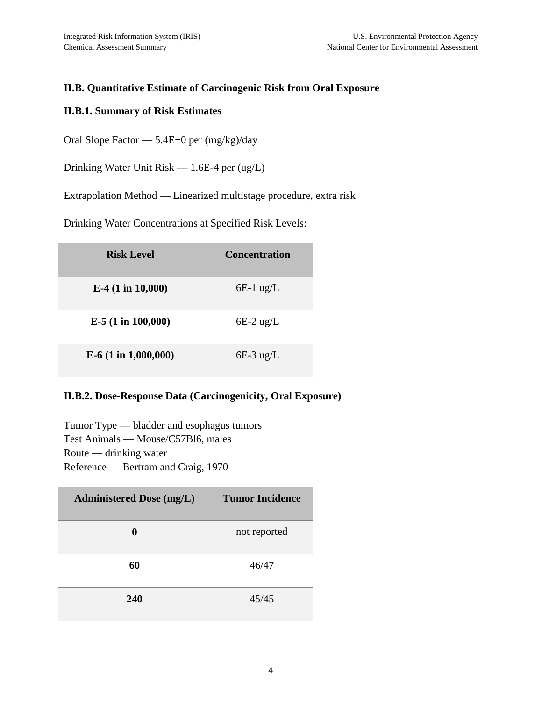# **II.B. Quantitative Estimate of Carcinogenic Risk from Oral Exposure**

#### **II.B.1. Summary of Risk Estimates**

Oral Slope Factor — 5.4E+0 per (mg/kg)/day

Drinking Water Unit Risk — 1.6E-4 per (ug/L)

Extrapolation Method — Linearized multistage procedure, extra risk

Drinking Water Concentrations at Specified Risk Levels:

| <b>Risk Level</b>      | <b>Concentration</b> |  |
|------------------------|----------------------|--|
| $E-4$ (1 in 10,000)    | $6E-1$ ug/L          |  |
| $E-5$ (1 in 100,000)   | $6E-2$ ug/L          |  |
| $E-6$ (1 in 1,000,000) | $6E-3$ ug/L          |  |

#### **II.B.2. Dose-Response Data (Carcinogenicity, Oral Exposure)**

Tumor Type — bladder and esophagus tumors Test Animals — Mouse/C57Bl6, males Route — drinking water Reference — Bertram and Craig, 1970

| <b>Administered Dose (mg/L)</b> | <b>Tumor Incidence</b> |
|---------------------------------|------------------------|
| 0                               | not reported           |
| 60                              | 46/47                  |
| 240                             | 45/45                  |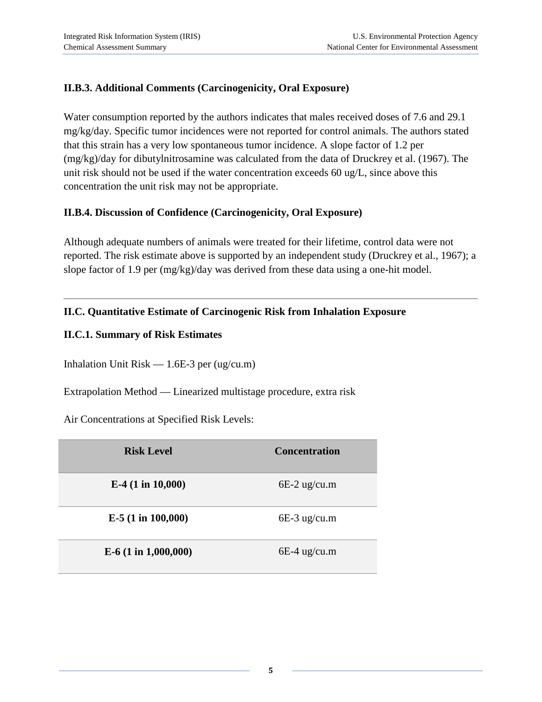# **II.B.3. Additional Comments (Carcinogenicity, Oral Exposure)**

Water consumption reported by the authors indicates that males received doses of 7.6 and 29.1 mg/kg/day. Specific tumor incidences were not reported for control animals. The authors stated that this strain has a very low spontaneous tumor incidence. A slope factor of 1.2 per (mg/kg)/day for dibutylnitrosamine was calculated from the data of Druckrey et al. (1967). The unit risk should not be used if the water concentration exceeds 60 ug/L, since above this concentration the unit risk may not be appropriate.

## **II.B.4. Discussion of Confidence (Carcinogenicity, Oral Exposure)**

Although adequate numbers of animals were treated for their lifetime, control data were not reported. The risk estimate above is supported by an independent study (Druckrey et al., 1967); a slope factor of 1.9 per (mg/kg)/day was derived from these data using a one-hit model.

# **II.C. Quantitative Estimate of Carcinogenic Risk from Inhalation Exposure**

## **II.C.1. Summary of Risk Estimates**

Inhalation Unit  $Risk - 1.6E-3$  per (ug/cu.m)

Extrapolation Method — Linearized multistage procedure, extra risk

Air Concentrations at Specified Risk Levels:

| <b>Risk Level</b>      | <b>Concentration</b> |  |
|------------------------|----------------------|--|
| E-4 $(1 in 10,000)$    | $6E-2$ ug/cu.m       |  |
| $E-5$ (1 in 100,000)   | $6E-3$ ug/cu.m       |  |
| $E-6$ (1 in 1,000,000) | $6E-4$ ug/cu.m       |  |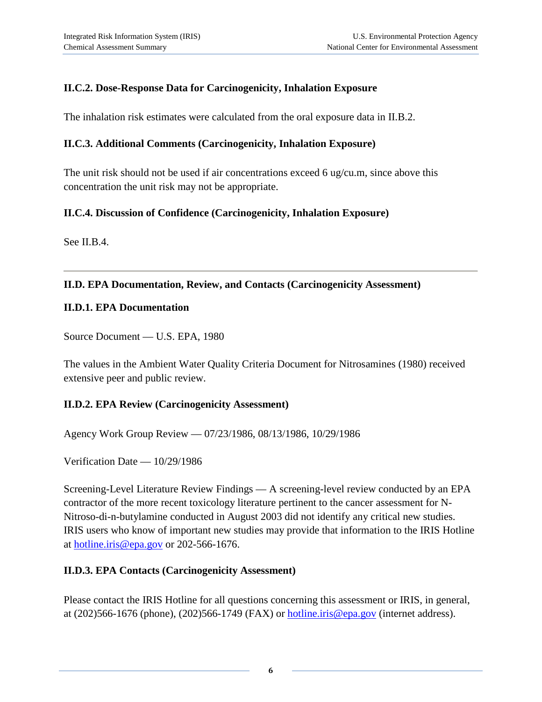# **II.C.2. Dose-Response Data for Carcinogenicity, Inhalation Exposure**

The inhalation risk estimates were calculated from the oral exposure data in II.B.2.

#### **II.C.3. Additional Comments (Carcinogenicity, Inhalation Exposure)**

The unit risk should not be used if air concentrations exceed 6 ug/cu.m, since above this concentration the unit risk may not be appropriate.

#### **II.C.4. Discussion of Confidence (Carcinogenicity, Inhalation Exposure)**

See II.B.4.

#### **II.D. EPA Documentation, Review, and Contacts (Carcinogenicity Assessment)**

#### **II.D.1. EPA Documentation**

Source Document — U.S. EPA, 1980

The values in the Ambient Water Quality Criteria Document for Nitrosamines (1980) received extensive peer and public review.

## **II.D.2. EPA Review (Carcinogenicity Assessment)**

Agency Work Group Review — 07/23/1986, 08/13/1986, 10/29/1986

Verification Date — 10/29/1986

Screening-Level Literature Review Findings — A screening-level review conducted by an EPA contractor of the more recent toxicology literature pertinent to the cancer assessment for N-Nitroso-di-n-butylamine conducted in August 2003 did not identify any critical new studies. IRIS users who know of important new studies may provide that information to the IRIS Hotline at [hotline.iris@epa.gov](mailto:hotline.iris@epa.gov) or 202-566-1676.

## **II.D.3. EPA Contacts (Carcinogenicity Assessment)**

Please contact the IRIS Hotline for all questions concerning this assessment or IRIS, in general, at (202)566-1676 (phone), (202)566-1749 (FAX) or [hotline.iris@epa.gov](mailto:hotline.iris@epa.gov) (internet address).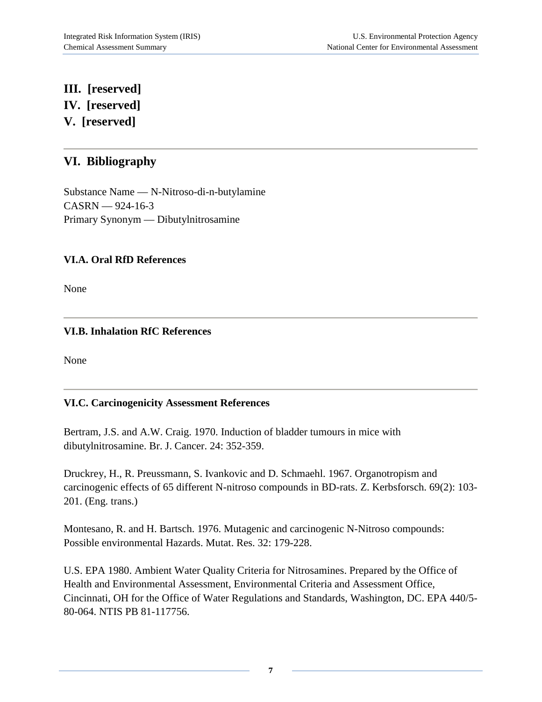# **III. [reserved] IV. [reserved] V. [reserved]**

# **VI. Bibliography**

Substance Name — N-Nitroso-di-n-butylamine CASRN — 924-16-3 Primary Synonym — Dibutylnitrosamine

## **VI.A. Oral RfD References**

None

## **VI.B. Inhalation RfC References**

None

## **VI.C. Carcinogenicity Assessment References**

Bertram, J.S. and A.W. Craig. 1970. Induction of bladder tumours in mice with dibutylnitrosamine. Br. J. Cancer. 24: 352-359.

Druckrey, H., R. Preussmann, S. Ivankovic and D. Schmaehl. 1967. Organotropism and carcinogenic effects of 65 different N-nitroso compounds in BD-rats. Z. Kerbsforsch. 69(2): 103- 201. (Eng. trans.)

Montesano, R. and H. Bartsch. 1976. Mutagenic and carcinogenic N-Nitroso compounds: Possible environmental Hazards. Mutat. Res. 32: 179-228.

U.S. EPA 1980. Ambient Water Quality Criteria for Nitrosamines. Prepared by the Office of Health and Environmental Assessment, Environmental Criteria and Assessment Office, Cincinnati, OH for the Office of Water Regulations and Standards, Washington, DC. EPA 440/5- 80-064. NTIS PB 81-117756.